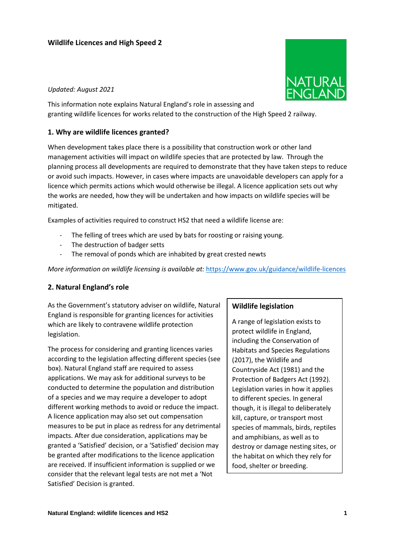### **Wildlife Licences and High Speed 2**

#### *Updated: August 2021*

This information note explains Natural England's role in assessing and granting wildlife licences for works related to the construction of the High Speed 2 railway.

#### **1. Why are wildlife licences granted?**

When development takes place there is a possibility that construction work or other land management activities will impact on wildlife species that are protected by law. Through the planning process all developments are required to demonstrate that they have taken steps to reduce or avoid such impacts. However, in cases where impacts are unavoidable developers can apply for a licence which permits actions which would otherwise be illegal. A licence application sets out why the works are needed, how they will be undertaken and how impacts on wildlife species will be mitigated.

Examples of activities required to construct HS2 that need a wildlife license are:

- The felling of trees which are used by bats for roosting or raising young.
- The destruction of badger setts
- The removal of ponds which are inhabited by great crested newts

*More information on wildlife licensing is available at:* <https://www.gov.uk/guidance/wildlife-licences>

### **2. Natural England's role**

As the Government's statutory adviser on wildlife, Natural England is responsible for granting licences for activities which are likely to contravene wildlife protection legislation.

The process for considering and granting licences varies according to the legislation affecting different species (see box). Natural England staff are required to assess applications. We may ask for additional surveys to be conducted to determine the population and distribution of a species and we may require a developer to adopt different working methods to avoid or reduce the impact. A licence application may also set out compensation measures to be put in place as redress for any detrimental impacts. After due consideration, applications may be granted a 'Satisfied' decision, or a 'Satisfied' decision may be granted after modifications to the licence application are received. If insufficient information is supplied or we consider that the relevant legal tests are not met a 'Not Satisfied' Decision is granted.

#### **Wildlife legislation**

A range of legislation exists to protect wildlife in England, including the Conservation of Habitats and Species Regulations (2017), the Wildlife and Countryside Act (1981) and the Protection of Badgers Act (1992). Legislation varies in how it applies to different species. In general though, it is illegal to deliberately kill, capture, or transport most species of mammals, birds, reptiles and amphibians, as well as to destroy or damage nesting sites, or the habitat on which they rely for food, shelter or breeding.

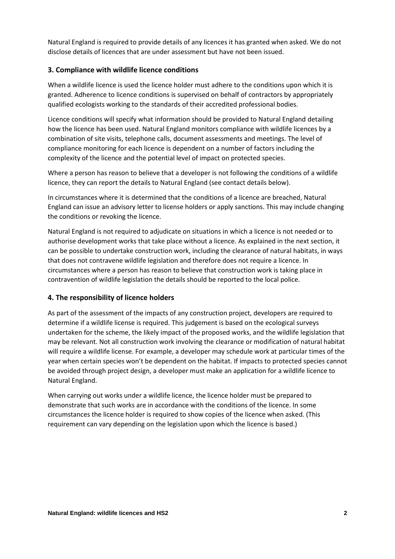Natural England is required to provide details of any licences it has granted when asked. We do not disclose details of licences that are under assessment but have not been issued.

# **3. Compliance with wildlife licence conditions**

When a wildlife licence is used the licence holder must adhere to the conditions upon which it is granted. Adherence to licence conditions is supervised on behalf of contractors by appropriately qualified ecologists working to the standards of their accredited professional bodies.

Licence conditions will specify what information should be provided to Natural England detailing how the licence has been used. Natural England monitors compliance with wildlife licences by a combination of site visits, telephone calls, document assessments and meetings. The level of compliance monitoring for each licence is dependent on a number of factors including the complexity of the licence and the potential level of impact on protected species.

Where a person has reason to believe that a developer is not following the conditions of a wildlife licence, they can report the details to Natural England (see contact details below).

In circumstances where it is determined that the conditions of a licence are breached, Natural England can issue an advisory letter to license holders or apply sanctions. This may include changing the conditions or revoking the licence.

Natural England is not required to adjudicate on situations in which a licence is not needed or to authorise development works that take place without a licence. As explained in the next section, it can be possible to undertake construction work, including the clearance of natural habitats, in ways that does not contravene wildlife legislation and therefore does not require a licence. In circumstances where a person has reason to believe that construction work is taking place in contravention of wildlife legislation the details should be reported to the local police.

## **4. The responsibility of licence holders**

As part of the assessment of the impacts of any construction project, developers are required to determine if a wildlife license is required. This judgement is based on the ecological surveys undertaken for the scheme, the likely impact of the proposed works, and the wildlife legislation that may be relevant. Not all construction work involving the clearance or modification of natural habitat will require a wildlife license. For example, a developer may schedule work at particular times of the year when certain species won't be dependent on the habitat. If impacts to protected species cannot be avoided through project design, a developer must make an application for a wildlife licence to Natural England.

When carrying out works under a wildlife licence, the licence holder must be prepared to demonstrate that such works are in accordance with the conditions of the licence. In some circumstances the licence holder is required to show copies of the licence when asked. (This requirement can vary depending on the legislation upon which the licence is based.)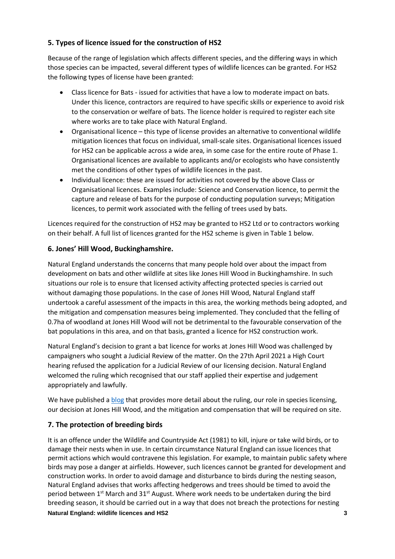# **5. Types of licence issued for the construction of HS2**

Because of the range of legislation which affects different species, and the differing ways in which those species can be impacted, several different types of wildlife licences can be granted. For HS2 the following types of license have been granted:

- Class licence for Bats issued for activities that have a low to moderate impact on bats. Under this licence, contractors are required to have specific skills or experience to avoid risk to the conservation or welfare of bats. The licence holder is required to register each site where works are to take place with Natural England.
- Organisational licence this type of license provides an alternative to conventional wildlife mitigation licences that focus on individual, small-scale sites. Organisational licences issued for HS2 can be applicable across a wide area, in some case for the entire route of Phase 1. Organisational licences are available to applicants and/or ecologists who have consistently met the conditions of other types of wildlife licences in the past.
- Individual licence: these are issued for activities not covered by the above Class or Organisational licences. Examples include: Science and Conservation licence, to permit the capture and release of bats for the purpose of conducting population surveys; Mitigation licences, to permit work associated with the felling of trees used by bats.

Licences required for the construction of HS2 may be granted to HS2 Ltd or to contractors working on their behalf. A full list of licences granted for the HS2 scheme is given in Table 1 below.

# **6. Jones' Hill Wood, Buckinghamshire.**

Natural England understands the concerns that many people hold over about the impact from development on bats and other wildlife at sites like Jones Hill Wood in Buckinghamshire. In such situations our role is to ensure that licensed activity affecting protected species is carried out without damaging those populations. In the case of Jones Hill Wood, Natural England staff undertook a careful assessment of the impacts in this area, the working methods being adopted, and the mitigation and compensation measures being implemented. They concluded that the felling of 0.7ha of woodland at Jones Hill Wood will not be detrimental to the favourable conservation of the bat populations in this area, and on that basis, granted a licence for HS2 construction work.

Natural England's decision to grant a bat licence for works at Jones Hill Wood was challenged by campaigners who sought a Judicial Review of the matter. On the 27th April 2021 a High Court hearing refused the application for a Judicial Review of our licensing decision. Natural England welcomed the ruling which recognised that our staff applied their expertise and judgement appropriately and lawfully.

We have published [a blog](https://naturalengland.blog.gov.uk/2021/03/31/bat-licensing-at-jones-hill-wood/) that provides more detail about the ruling, our role in species licensing, our decision at Jones Hill Wood, and the mitigation and compensation that will be required on site.

# **7. The protection of breeding birds**

It is an offence under the Wildlife and Countryside Act (1981) to kill, injure or take wild birds, or to damage their nests when in use. In certain circumstance Natural England can issue licences that permit actions which would contravene this legislation. For example, to maintain public safety where birds may pose a danger at airfields. However, such licences cannot be granted for development and construction works. In order to avoid damage and disturbance to birds during the nesting season, Natural England advises that works affecting hedgerows and trees should be timed to avoid the period between  $1<sup>st</sup>$  March and 31<sup>st</sup> August. Where work needs to be undertaken during the bird breeding season, it should be carried out in a way that does not breach the protections for nesting

### **Natural England: wildlife licences and HS2 3**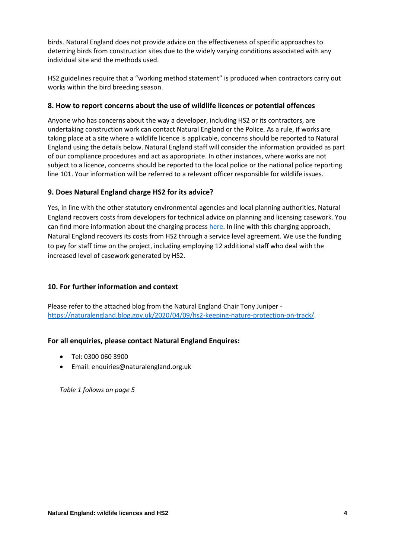birds. Natural England does not provide advice on the effectiveness of specific approaches to deterring birds from construction sites due to the widely varying conditions associated with any individual site and the methods used.

HS2 guidelines require that a "working method statement" is produced when contractors carry out works within the bird breeding season.

## **8. How to report concerns about the use of wildlife licences or potential offences**

Anyone who has concerns about the way a developer, including HS2 or its contractors, are undertaking construction work can contact Natural England or the Police. As a rule, if works are taking place at a site where a wildlife licence is applicable, concerns should be reported to Natural England using the details below. Natural England staff will consider the information provided as part of our compliance procedures and act as appropriate. In other instances, where works are not subject to a licence, concerns should be reported to the local police or the national police reporting line 101. Your information will be referred to a relevant officer responsible for wildlife issues.

# **9. Does Natural England charge HS2 for its advice?**

Yes, in line with the other statutory environmental agencies and local planning authorities, Natural England recovers costs from developers for technical advice on planning and licensing casework. You can find more information about the charging process [here.](https://www.gov.uk/guidance/developers-get-environmental-advice-on-your-planning-proposals) In line with this charging approach, Natural England recovers its costs from HS2 through a service level agreement. We use the funding to pay for staff time on the project, including employing 12 additional staff who deal with the increased level of casework generated by HS2.

# **10. For further information and context**

Please refer to the attached blog from the Natural England Chair Tony Juniper [https://naturalengland.blog.gov.uk/2020/04/09/hs2-keeping-nature-protection-on-track/.](https://naturalengland.blog.gov.uk/2020/04/09/hs2-keeping-nature-protection-on-track/)

# **For all enquiries, please contact Natural England Enquires:**

- Tel: 0300 060 3900
- Email: enquiries@naturalengland.org.uk

*Table 1 follows on page 5*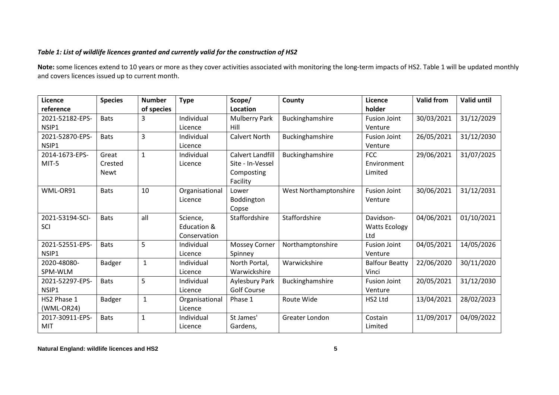## *Table 1: List of wildlife licences granted and currently valid for the construction of HS2*

**Note:** some licences extend to 10 years or more as they cover activities associated with monitoring the long-term impacts of HS2. Table 1 will be updated monthly and covers licences issued up to current month.

| Licence         | <b>Species</b> | <b>Number</b> | <b>Type</b>    | Scope/                  | County                | Licence               | <b>Valid from</b> | <b>Valid until</b> |
|-----------------|----------------|---------------|----------------|-------------------------|-----------------------|-----------------------|-------------------|--------------------|
| reference       |                | of species    |                | Location                |                       | holder                |                   |                    |
| 2021-52182-EPS- | <b>Bats</b>    | 3             | Individual     | <b>Mulberry Park</b>    | Buckinghamshire       | <b>Fusion Joint</b>   | 30/03/2021        | 31/12/2029         |
| NSIP1           |                |               | Licence        | Hill                    |                       | Venture               |                   |                    |
| 2021-52870-EPS- | <b>Bats</b>    | 3             | Individual     | <b>Calvert North</b>    | Buckinghamshire       | <b>Fusion Joint</b>   | 26/05/2021        | 31/12/2030         |
| NSIP1           |                |               | Licence        |                         |                       | Venture               |                   |                    |
| 2014-1673-EPS-  | Great          | $\mathbf{1}$  | Individual     | <b>Calvert Landfill</b> | Buckinghamshire       | <b>FCC</b>            | 29/06/2021        | 31/07/2025         |
| MIT-5           | Crested        |               | Licence        | Site - In-Vessel        |                       | Environment           |                   |                    |
|                 | <b>Newt</b>    |               |                | Composting              |                       | Limited               |                   |                    |
|                 |                |               |                | Facility                |                       |                       |                   |                    |
| WML-OR91        | <b>Bats</b>    | 10            | Organisational | Lower                   | West Northamptonshire | <b>Fusion Joint</b>   | 30/06/2021        | 31/12/2031         |
|                 |                |               | Licence        | Boddington              |                       | Venture               |                   |                    |
|                 |                |               |                | Copse                   |                       |                       |                   |                    |
| 2021-53194-SCI- | <b>Bats</b>    | all           | Science,       | Staffordshire           | Staffordshire         | Davidson-             | 04/06/2021        | 01/10/2021         |
| SCI             |                |               | Education &    |                         |                       | <b>Watts Ecology</b>  |                   |                    |
|                 |                |               | Conservation   |                         |                       | Ltd                   |                   |                    |
| 2021-52551-EPS- | <b>Bats</b>    | 5             | Individual     | <b>Mossey Corner</b>    | Northamptonshire      | <b>Fusion Joint</b>   | 04/05/2021        | 14/05/2026         |
| NSIP1           |                |               | Licence        | Spinney                 |                       | Venture               |                   |                    |
| 2020-48080-     | <b>Badger</b>  | $\mathbf{1}$  | Individual     | North Portal,           | Warwickshire          | <b>Balfour Beatty</b> | 22/06/2020        | 30/11/2020         |
| SPM-WLM         |                |               | Licence        | Warwickshire            |                       | Vinci                 |                   |                    |
| 2021-52297-EPS- | <b>Bats</b>    | 5             | Individual     | Aylesbury Park          | Buckinghamshire       | <b>Fusion Joint</b>   | 20/05/2021        | 31/12/2030         |
| NSIP1           |                |               | Licence        | <b>Golf Course</b>      |                       | Venture               |                   |                    |
| HS2 Phase 1     | <b>Badger</b>  | $\mathbf 1$   | Organisational | Phase 1                 | Route Wide            | HS2 Ltd               | 13/04/2021        | 28/02/2023         |
| $(WML-OR24)$    |                |               | Licence        |                         |                       |                       |                   |                    |
| 2017-30911-EPS- | <b>Bats</b>    | $\mathbf{1}$  | Individual     | St James'               | Greater London        | Costain               | 11/09/2017        | 04/09/2022         |
| <b>MIT</b>      |                |               | Licence        | Gardens,                |                       | Limited               |                   |                    |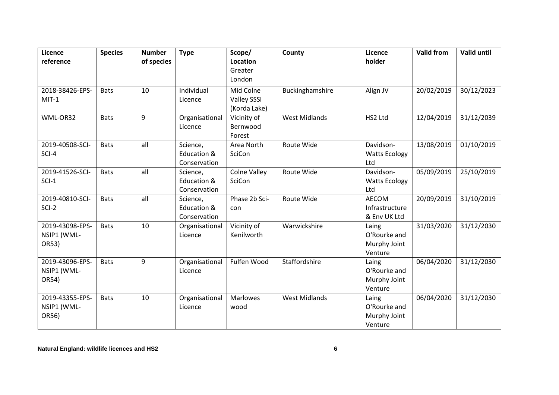| <b>Licence</b>             | <b>Species</b> | <b>Number</b> | <b>Type</b>    | Scope/                             | County               | Licence               | <b>Valid from</b> | <b>Valid until</b> |
|----------------------------|----------------|---------------|----------------|------------------------------------|----------------------|-----------------------|-------------------|--------------------|
| reference                  |                | of species    |                | Location<br>Greater                |                      | holder                |                   |                    |
|                            |                |               |                | London                             |                      |                       |                   |                    |
|                            |                |               |                |                                    |                      |                       |                   |                    |
| 2018-38426-EPS-<br>$MIT-1$ | <b>Bats</b>    | 10            | Individual     | Mid Colne                          | Buckinghamshire      | Align JV              | 20/02/2019        | 30/12/2023         |
|                            |                |               | Licence        | <b>Valley SSSI</b><br>(Korda Lake) |                      |                       |                   |                    |
| WML-OR32                   | <b>Bats</b>    | 9             | Organisational | Vicinity of                        | <b>West Midlands</b> | HS2 Ltd               | 12/04/2019        | 31/12/2039         |
|                            |                |               | Licence        | Bernwood                           |                      |                       |                   |                    |
|                            |                |               |                | Forest                             |                      |                       |                   |                    |
| 2019-40508-SCI-            | <b>Bats</b>    | all           | Science,       | Area North                         | Route Wide           | Davidson-             | 13/08/2019        | 01/10/2019         |
| SCI-4                      |                |               | Education &    | SciCon                             |                      | <b>Watts Ecology</b>  |                   |                    |
|                            |                |               | Conservation   |                                    |                      | Ltd                   |                   |                    |
| 2019-41526-SCI-            | <b>Bats</b>    | all           | Science,       | <b>Colne Valley</b>                | Route Wide           | Davidson-             | 05/09/2019        | 25/10/2019         |
| $SCI-1$                    |                |               | Education &    | SciCon                             |                      | <b>Watts Ecology</b>  |                   |                    |
|                            |                |               | Conservation   |                                    |                      | Ltd                   |                   |                    |
| 2019-40810-SCI-            | <b>Bats</b>    | all           | Science,       | Phase 2b Sci-                      | Route Wide           | AECOM                 | 20/09/2019        | 31/10/2019         |
| $SCI-2$                    |                |               | Education &    | con                                |                      | Infrastructure        |                   |                    |
|                            |                |               | Conservation   |                                    |                      | & Env UK Ltd          |                   |                    |
| 2019-43098-EPS-            | <b>Bats</b>    | 10            | Organisational | Vicinity of<br>Kenilworth          | Warwickshire         | Laing<br>O'Rourke and | 31/03/2020        | 31/12/2030         |
| NSIP1 (WML-<br>OR53)       |                |               | Licence        |                                    |                      | Murphy Joint          |                   |                    |
|                            |                |               |                |                                    |                      | Venture               |                   |                    |
| 2019-43096-EPS-            | <b>Bats</b>    | 9             | Organisational | Fulfen Wood                        | Staffordshire        | Laing                 | 06/04/2020        | 31/12/2030         |
| NSIP1 (WML-                |                |               | Licence        |                                    |                      | O'Rourke and          |                   |                    |
| OR54)                      |                |               |                |                                    |                      | Murphy Joint          |                   |                    |
|                            |                |               |                |                                    |                      | Venture               |                   |                    |
| 2019-43355-EPS-            | <b>Bats</b>    | 10            | Organisational | Marlowes                           | <b>West Midlands</b> | Laing                 | 06/04/2020        | 31/12/2030         |
| NSIP1 (WML-                |                |               | Licence        | wood                               |                      | O'Rourke and          |                   |                    |
| OR56)                      |                |               |                |                                    |                      | Murphy Joint          |                   |                    |
|                            |                |               |                |                                    |                      | Venture               |                   |                    |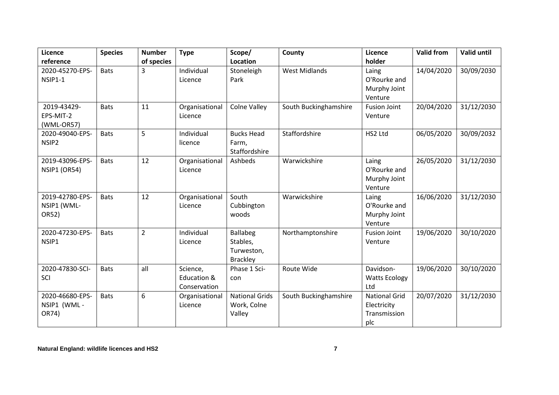| Licence                                 | <b>Species</b> | <b>Number</b>  | <b>Type</b>                             | Scope/                                                       | County                | Licence                                                    | <b>Valid from</b> | <b>Valid until</b> |
|-----------------------------------------|----------------|----------------|-----------------------------------------|--------------------------------------------------------------|-----------------------|------------------------------------------------------------|-------------------|--------------------|
| reference                               |                | of species     |                                         | Location                                                     |                       | holder                                                     |                   |                    |
| 2020-45270-EPS-<br><b>NSIP1-1</b>       | <b>Bats</b>    | 3              | Individual<br>Licence                   | Stoneleigh<br>Park                                           | <b>West Midlands</b>  | Laing<br>O'Rourke and<br>Murphy Joint<br>Venture           | 14/04/2020        | 30/09/2030         |
| 2019-43429-<br>EPS-MIT-2<br>(WML-OR57)  | <b>Bats</b>    | 11             | Organisational<br>Licence               | <b>Colne Valley</b>                                          | South Buckinghamshire | <b>Fusion Joint</b><br>Venture                             | 20/04/2020        | 31/12/2030         |
| 2020-49040-EPS-<br>NSIP <sub>2</sub>    | <b>Bats</b>    | 5              | Individual<br>licence                   | <b>Bucks Head</b><br>Farm,<br>Staffordshire                  | Staffordshire         | HS2 Ltd                                                    | 06/05/2020        | 30/09/2032         |
| 2019-43096-EPS-<br>NSIP1 (OR54)         | <b>Bats</b>    | 12             | Organisational<br>Licence               | Ashbeds                                                      | Warwickshire          | Laing<br>O'Rourke and<br>Murphy Joint<br>Venture           | 26/05/2020        | 31/12/2030         |
| 2019-42780-EPS-<br>NSIP1 (WML-<br>OR52) | <b>Bats</b>    | 12             | Organisational<br>Licence               | South<br>Cubbington<br>woods                                 | Warwickshire          | Laing<br>O'Rourke and<br>Murphy Joint<br>Venture           | 16/06/2020        | 31/12/2030         |
| 2020-47230-EPS-<br>NSIP1                | <b>Bats</b>    | $\overline{2}$ | Individual<br>Licence                   | <b>Ballabeg</b><br>Stables,<br>Turweston,<br><b>Brackley</b> | Northamptonshire      | <b>Fusion Joint</b><br>Venture                             | 19/06/2020        | 30/10/2020         |
| 2020-47830-SCI-<br>SCI                  | <b>Bats</b>    | all            | Science,<br>Education &<br>Conservation | Phase 1 Sci-<br>con                                          | Route Wide            | Davidson-<br><b>Watts Ecology</b><br>Ltd                   | 19/06/2020        | 30/10/2020         |
| 2020-46680-EPS-<br>NSIP1 (WML-<br>OR74) | <b>Bats</b>    | 6              | Organisational<br>Licence               | <b>National Grids</b><br>Work, Colne<br>Valley               | South Buckinghamshire | <b>National Grid</b><br>Electricity<br>Transmission<br>plc | 20/07/2020        | 31/12/2030         |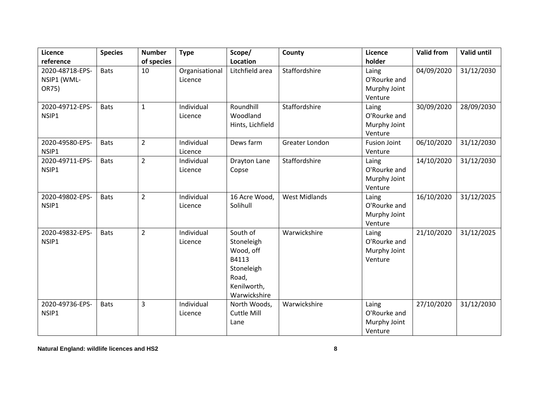| Licence                                 | <b>Species</b> | <b>Number</b>  | <b>Type</b>               | Scope/                                                                                             | County               | Licence                                          | <b>Valid from</b> | Valid until |
|-----------------------------------------|----------------|----------------|---------------------------|----------------------------------------------------------------------------------------------------|----------------------|--------------------------------------------------|-------------------|-------------|
| reference                               |                | of species     |                           | Location                                                                                           |                      | holder                                           |                   |             |
| 2020-48718-EPS-<br>NSIP1 (WML-<br>OR75) | <b>Bats</b>    | 10             | Organisational<br>Licence | Litchfield area                                                                                    | Staffordshire        | Laing<br>O'Rourke and<br>Murphy Joint            | 04/09/2020        | 31/12/2030  |
|                                         |                |                |                           |                                                                                                    |                      | Venture                                          |                   |             |
| 2020-49712-EPS-<br>NSIP1                | <b>Bats</b>    | $\mathbf{1}$   | Individual<br>Licence     | Roundhill<br>Woodland                                                                              | Staffordshire        | Laing<br>O'Rourke and                            | 30/09/2020        | 28/09/2030  |
|                                         |                |                |                           | Hints, Lichfield                                                                                   |                      | Murphy Joint<br>Venture                          |                   |             |
| 2020-49580-EPS-<br>NSIP1                | <b>Bats</b>    | $\overline{2}$ | Individual<br>Licence     | Dews farm                                                                                          | Greater London       | <b>Fusion Joint</b><br>Venture                   | 06/10/2020        | 31/12/2030  |
| 2020-49711-EPS-<br>NSIP1                | <b>Bats</b>    | $\overline{2}$ | Individual<br>Licence     | <b>Drayton Lane</b><br>Copse                                                                       | Staffordshire        | Laing<br>O'Rourke and<br>Murphy Joint<br>Venture | 14/10/2020        | 31/12/2030  |
| 2020-49802-EPS-<br>NSIP1                | <b>Bats</b>    | $\overline{2}$ | Individual<br>Licence     | 16 Acre Wood,<br>Solihull                                                                          | <b>West Midlands</b> | Laing<br>O'Rourke and<br>Murphy Joint<br>Venture | 16/10/2020        | 31/12/2025  |
| 2020-49832-EPS-<br>NSIP1                | <b>Bats</b>    | $\overline{2}$ | Individual<br>Licence     | South of<br>Stoneleigh<br>Wood, off<br>B4113<br>Stoneleigh<br>Road,<br>Kenilworth,<br>Warwickshire | Warwickshire         | Laing<br>O'Rourke and<br>Murphy Joint<br>Venture | 21/10/2020        | 31/12/2025  |
| 2020-49736-EPS-<br>NSIP1                | <b>Bats</b>    | 3              | Individual<br>Licence     | North Woods,<br>Cuttle Mill<br>Lane                                                                | Warwickshire         | Laing<br>O'Rourke and<br>Murphy Joint<br>Venture | 27/10/2020        | 31/12/2030  |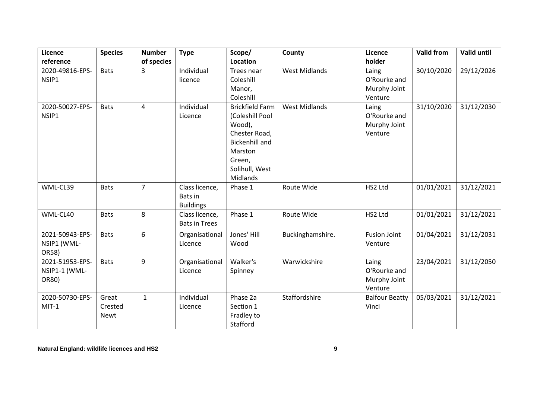| Licence                                   | <b>Species</b>                  | <b>Number</b>  | <b>Type</b>                                   | Scope/                                                                                                                               | County               | Licence                                          | <b>Valid from</b> | <b>Valid until</b> |
|-------------------------------------------|---------------------------------|----------------|-----------------------------------------------|--------------------------------------------------------------------------------------------------------------------------------------|----------------------|--------------------------------------------------|-------------------|--------------------|
| reference                                 |                                 | of species     |                                               | Location                                                                                                                             |                      | holder                                           |                   |                    |
| 2020-49816-EPS-<br>NSIP1                  | <b>Bats</b>                     | 3              | Individual<br>licence                         | Trees near<br>Coleshill<br>Manor,                                                                                                    | <b>West Midlands</b> | Laing<br>O'Rourke and<br>Murphy Joint            | 30/10/2020        | 29/12/2026         |
|                                           |                                 |                |                                               | Coleshill                                                                                                                            |                      | Venture                                          |                   |                    |
| 2020-50027-EPS-<br>NSIP1                  | <b>Bats</b>                     | 4              | Individual<br>Licence                         | <b>Brickfield Farm</b><br>(Coleshill Pool<br>Wood),<br>Chester Road,<br><b>Bickenhill and</b><br>Marston<br>Green,<br>Solihull, West | <b>West Midlands</b> | Laing<br>O'Rourke and<br>Murphy Joint<br>Venture | 31/10/2020        | 31/12/2030         |
|                                           |                                 |                |                                               | Midlands                                                                                                                             |                      |                                                  |                   |                    |
| WML-CL39                                  | <b>Bats</b>                     | $\overline{7}$ | Class licence,<br>Bats in<br><b>Buildings</b> | Phase 1                                                                                                                              | Route Wide           | HS2 Ltd                                          | 01/01/2021        | 31/12/2021         |
| WML-CL40                                  | <b>Bats</b>                     | 8              | Class licence,<br><b>Bats in Trees</b>        | Phase 1                                                                                                                              | Route Wide           | HS2 Ltd                                          | 01/01/2021        | 31/12/2021         |
| 2021-50943-EPS-<br>NSIP1 (WML-<br>OR58)   | <b>Bats</b>                     | 6              | Organisational<br>Licence                     | Jones' Hill<br>Wood                                                                                                                  | Buckinghamshire.     | <b>Fusion Joint</b><br>Venture                   | 01/04/2021        | 31/12/2031         |
| 2021-51953-EPS-<br>NSIP1-1 (WML-<br>OR80) | <b>Bats</b>                     | 9              | Organisational<br>Licence                     | Walker's<br>Spinney                                                                                                                  | Warwickshire         | Laing<br>O'Rourke and<br>Murphy Joint<br>Venture | 23/04/2021        | 31/12/2050         |
| 2020-50730-EPS-<br>$MIT-1$                | Great<br>Crested<br><b>Newt</b> | $\mathbf{1}$   | Individual<br>Licence                         | Phase 2a<br>Section 1<br>Fradley to<br>Stafford                                                                                      | Staffordshire        | <b>Balfour Beatty</b><br>Vinci                   | 05/03/2021        | 31/12/2021         |